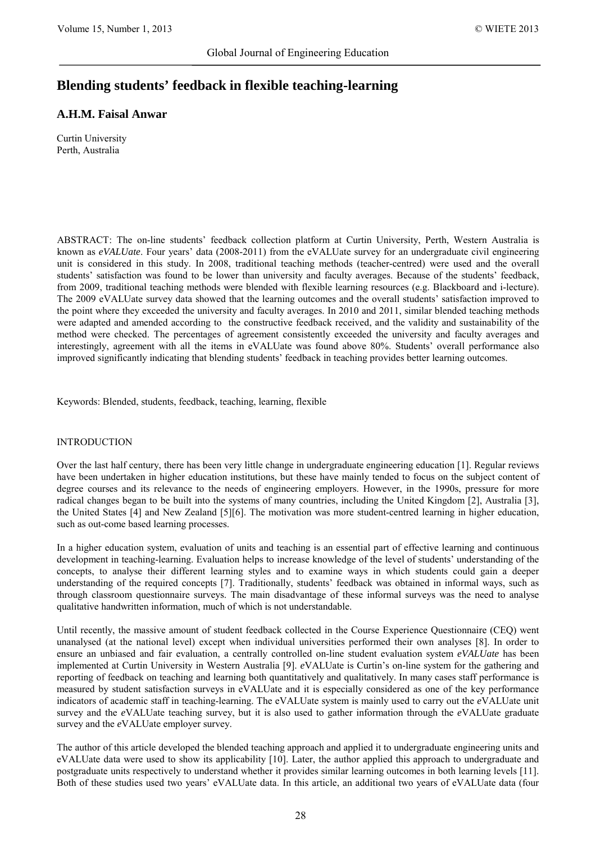# **Blending students' feedback in flexible teaching-learning**

## **A.H.M. Faisal Anwar**

Curtin University Perth, Australia

ABSTRACT: The on-line students' feedback collection platform at Curtin University, Perth, Western Australia is known as *eVALUate*. Four years' data (2008-2011) from the eVALUate survey for an undergraduate civil engineering unit is considered in this study. In 2008, traditional teaching methods (teacher-centred) were used and the overall students' satisfaction was found to be lower than university and faculty averages. Because of the students' feedback, from 2009, traditional teaching methods were blended with flexible learning resources (e.g. Blackboard and i-lecture). The 2009 eVALUate survey data showed that the learning outcomes and the overall students' satisfaction improved to the point where they exceeded the university and faculty averages. In 2010 and 2011, similar blended teaching methods were adapted and amended according to the constructive feedback received, and the validity and sustainability of the method were checked. The percentages of agreement consistently exceeded the university and faculty averages and interestingly, agreement with all the items in eVALUate was found above 80%. Students' overall performance also improved significantly indicating that blending students' feedback in teaching provides better learning outcomes.

Keywords: Blended, students, feedback, teaching, learning, flexible

#### INTRODUCTION

Over the last half century, there has been very little change in undergraduate engineering education [1]. Regular reviews have been undertaken in higher education institutions, but these have mainly tended to focus on the subject content of degree courses and its relevance to the needs of engineering employers. However, in the 1990s, pressure for more radical changes began to be built into the systems of many countries, including the United Kingdom [2], Australia [3], the United States [4] and New Zealand [5][6]. The motivation was more student-centred learning in higher education, such as out-come based learning processes.

In a higher education system, evaluation of units and teaching is an essential part of effective learning and continuous development in teaching-learning. Evaluation helps to increase knowledge of the level of students' understanding of the concepts, to analyse their different learning styles and to examine ways in which students could gain a deeper understanding of the required concepts [7]. Traditionally, students' feedback was obtained in informal ways, such as through classroom questionnaire surveys. The main disadvantage of these informal surveys was the need to analyse qualitative handwritten information, much of which is not understandable.

Until recently, the massive amount of student feedback collected in the Course Experience Questionnaire (CEQ) went unanalysed (at the national level) except when individual universities performed their own analyses [8]. In order to ensure an unbiased and fair evaluation, a centrally controlled on-line student evaluation system *eVALUate* has been implemented at Curtin University in Western Australia [9]. *e*VALUate is Curtin's on-line system for the gathering and reporting of feedback on teaching and learning both quantitatively and qualitatively. In many cases staff performance is measured by student satisfaction surveys in eVALUate and it is especially considered as one of the key performance indicators of academic staff in teaching-learning. The eVALUate system is mainly used to carry out the *e*VALUate unit survey and the *e*VALUate teaching survey, but it is also used to gather information through the *e*VALUate graduate survey and the *e*VALUate employer survey.

The author of this article developed the blended teaching approach and applied it to undergraduate engineering units and eVALUate data were used to show its applicability [10]. Later, the author applied this approach to undergraduate and postgraduate units respectively to understand whether it provides similar learning outcomes in both learning levels [11]. Both of these studies used two years' eVALUate data. In this article, an additional two years of eVALUate data (four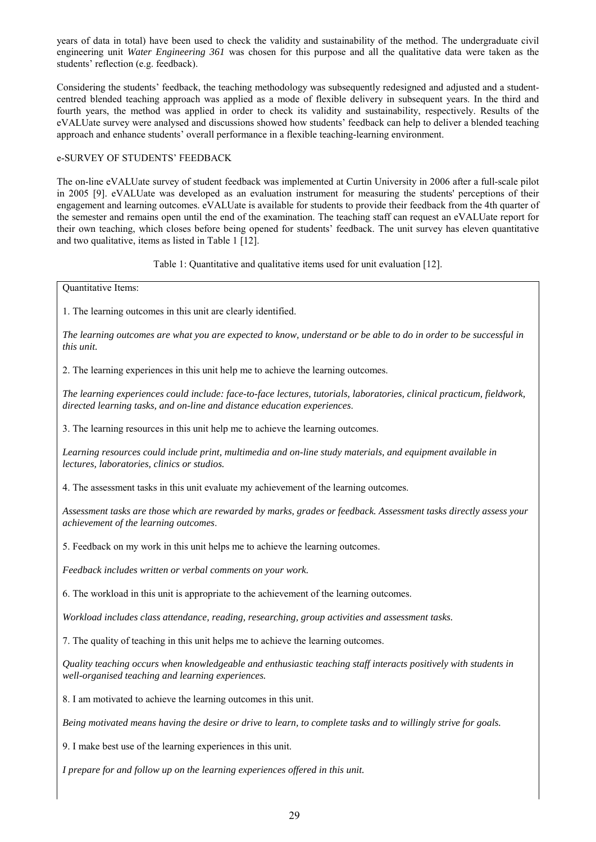years of data in total) have been used to check the validity and sustainability of the method. The undergraduate civil engineering unit *Water Engineering 361* was chosen for this purpose and all the qualitative data were taken as the students' reflection (e.g. feedback).

Considering the students' feedback, the teaching methodology was subsequently redesigned and adjusted and a studentcentred blended teaching approach was applied as a mode of flexible delivery in subsequent years. In the third and fourth years, the method was applied in order to check its validity and sustainability, respectively. Results of the eVALUate survey were analysed and discussions showed how students' feedback can help to deliver a blended teaching approach and enhance students' overall performance in a flexible teaching-learning environment.

### e-SURVEY OF STUDENTS' FEEDBACK

The on-line eVALUate survey of student feedback was implemented at Curtin University in 2006 after a full-scale pilot in 2005 [9]. eVALUate was developed as an evaluation instrument for measuring the students' perceptions of their engagement and learning outcomes. eVALUate is available for students to provide their feedback from the 4th quarter of the semester and remains open until the end of the examination. The teaching staff can request an eVALUate report for their own teaching, which closes before being opened for students' feedback. The unit survey has eleven quantitative and two qualitative, items as listed in Table 1 [12].

Table 1: Quantitative and qualitative items used for unit evaluation [12].

Quantitative Items:

1. The learning outcomes in this unit are clearly identified.

*The learning outcomes are what you are expected to know, understand or be able to do in order to be successful in this unit.* 

2. The learning experiences in this unit help me to achieve the learning outcomes.

*The learning experiences could include: face-to-face lectures, tutorials, laboratories, clinical practicum, fieldwork, directed learning tasks, and on-line and distance education experiences*.

3. The learning resources in this unit help me to achieve the learning outcomes.

*Learning resources could include print, multimedia and on-line study materials, and equipment available in lectures, laboratories, clinics or studios.*

4. The assessment tasks in this unit evaluate my achievement of the learning outcomes.

*Assessment tasks are those which are rewarded by marks, grades or feedback. Assessment tasks directly assess your achievement of the learning outcomes*.

5. Feedback on my work in this unit helps me to achieve the learning outcomes.

*Feedback includes written or verbal comments on your work.*

6. The workload in this unit is appropriate to the achievement of the learning outcomes.

*Workload includes class attendance, reading, researching, group activities and assessment tasks.*

7. The quality of teaching in this unit helps me to achieve the learning outcomes.

*Quality teaching occurs when knowledgeable and enthusiastic teaching staff interacts positively with students in well-organised teaching and learning experiences.*

8. I am motivated to achieve the learning outcomes in this unit.

*Being motivated means having the desire or drive to learn, to complete tasks and to willingly strive for goals.*

9. I make best use of the learning experiences in this unit.

*I prepare for and follow up on the learning experiences offered in this unit.*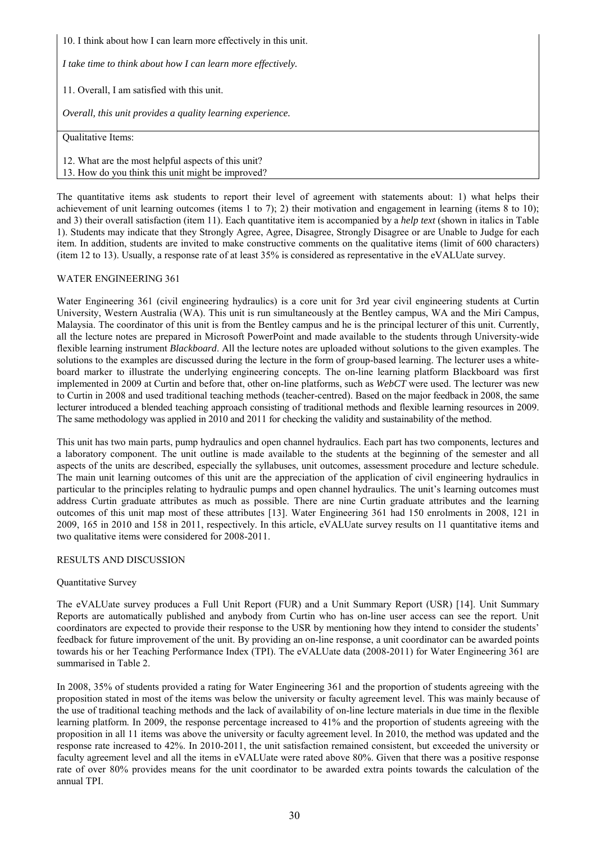10. I think about how I can learn more effectively in this unit.

*I take time to think about how I can learn more effectively.*

11. Overall, I am satisfied with this unit.

*Overall, this unit provides a quality learning experience.*

Qualitative Items:

12. What are the most helpful aspects of this unit? 13. How do you think this unit might be improved?

The quantitative items ask students to report their level of agreement with statements about: 1) what helps their achievement of unit learning outcomes (items 1 to 7); 2) their motivation and engagement in learning (items 8 to 10); and 3) their overall satisfaction (item 11). Each quantitative item is accompanied by a *help text* (shown in italics in Table 1). Students may indicate that they Strongly Agree, Agree, Disagree, Strongly Disagree or are Unable to Judge for each item. In addition, students are invited to make constructive comments on the qualitative items (limit of 600 characters) (item 12 to 13). Usually, a response rate of at least 35% is considered as representative in the eVALUate survey.

#### WATER ENGINEERING 361

Water Engineering 361 (civil engineering hydraulics) is a core unit for 3rd year civil engineering students at Curtin University, Western Australia (WA). This unit is run simultaneously at the Bentley campus, WA and the Miri Campus, Malaysia. The coordinator of this unit is from the Bentley campus and he is the principal lecturer of this unit. Currently, all the lecture notes are prepared in Microsoft PowerPoint and made available to the students through University-wide flexible learning instrument *Blackboard*. All the lecture notes are uploaded without solutions to the given examples. The solutions to the examples are discussed during the lecture in the form of group-based learning. The lecturer uses a whiteboard marker to illustrate the underlying engineering concepts. The on-line learning platform Blackboard was first implemented in 2009 at Curtin and before that, other on-line platforms, such as *WebCT* were used. The lecturer was new to Curtin in 2008 and used traditional teaching methods (teacher-centred). Based on the major feedback in 2008, the same lecturer introduced a blended teaching approach consisting of traditional methods and flexible learning resources in 2009. The same methodology was applied in 2010 and 2011 for checking the validity and sustainability of the method.

This unit has two main parts, pump hydraulics and open channel hydraulics. Each part has two components, lectures and a laboratory component. The unit outline is made available to the students at the beginning of the semester and all aspects of the units are described, especially the syllabuses, unit outcomes, assessment procedure and lecture schedule. The main unit learning outcomes of this unit are the appreciation of the application of civil engineering hydraulics in particular to the principles relating to hydraulic pumps and open channel hydraulics. The unit's learning outcomes must address Curtin graduate attributes as much as possible. There are nine Curtin graduate attributes and the learning outcomes of this unit map most of these attributes [13]. Water Engineering 361 had 150 enrolments in 2008, 121 in 2009, 165 in 2010 and 158 in 2011, respectively. In this article, eVALUate survey results on 11 quantitative items and two qualitative items were considered for 2008-2011.

#### RESULTS AND DISCUSSION

#### Quantitative Survey

The eVALUate survey produces a Full Unit Report (FUR) and a Unit Summary Report (USR) [14]. Unit Summary Reports are automatically published and anybody from Curtin who has on-line user access can see the report. Unit coordinators are expected to provide their response to the USR by mentioning how they intend to consider the students' feedback for future improvement of the unit. By providing an on-line response, a unit coordinator can be awarded points towards his or her Teaching Performance Index (TPI). The eVALUate data (2008-2011) for Water Engineering 361 are summarised in Table 2.

In 2008, 35% of students provided a rating for Water Engineering 361 and the proportion of students agreeing with the proposition stated in most of the items was below the university or faculty agreement level. This was mainly because of the use of traditional teaching methods and the lack of availability of on-line lecture materials in due time in the flexible learning platform. In 2009, the response percentage increased to 41% and the proportion of students agreeing with the proposition in all 11 items was above the university or faculty agreement level. In 2010, the method was updated and the response rate increased to 42%. In 2010-2011, the unit satisfaction remained consistent, but exceeded the university or faculty agreement level and all the items in eVALUate were rated above 80%. Given that there was a positive response rate of over 80% provides means for the unit coordinator to be awarded extra points towards the calculation of the annual TPI.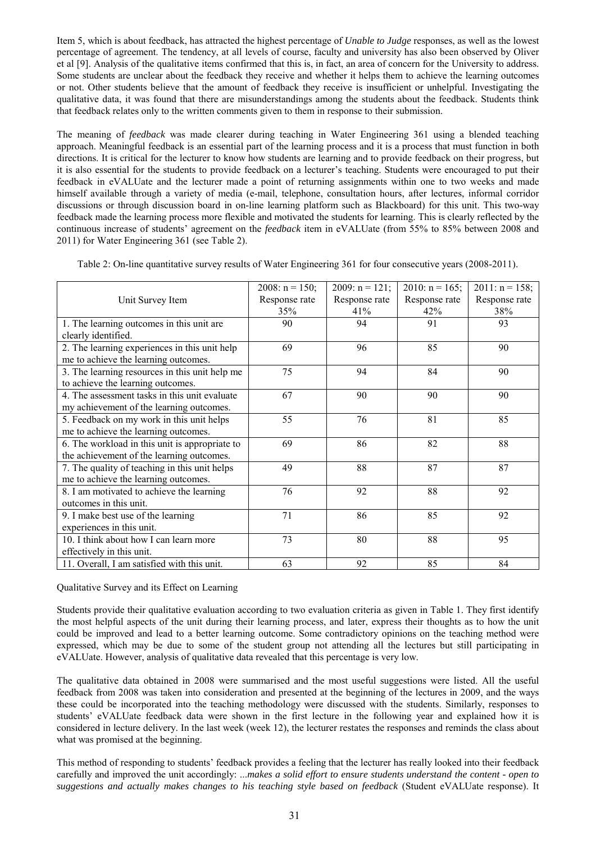Item 5, which is about feedback, has attracted the highest percentage of *Unable to Judge* responses, as well as the lowest percentage of agreement. The tendency, at all levels of course, faculty and university has also been observed by Oliver et al [9]. Analysis of the qualitative items confirmed that this is, in fact, an area of concern for the University to address. Some students are unclear about the feedback they receive and whether it helps them to achieve the learning outcomes or not. Other students believe that the amount of feedback they receive is insufficient or unhelpful. Investigating the qualitative data, it was found that there are misunderstandings among the students about the feedback. Students think that feedback relates only to the written comments given to them in response to their submission.

The meaning of *feedback* was made clearer during teaching in Water Engineering 361 using a blended teaching approach. Meaningful feedback is an essential part of the learning process and it is a process that must function in both directions. It is critical for the lecturer to know how students are learning and to provide feedback on their progress, but it is also essential for the students to provide feedback on a lecturer's teaching. Students were encouraged to put their feedback in eVALUate and the lecturer made a point of returning assignments within one to two weeks and made himself available through a variety of media (e-mail, telephone, consultation hours, after lectures, informal corridor discussions or through discussion board in on-line learning platform such as Blackboard) for this unit. This two-way feedback made the learning process more flexible and motivated the students for learning. This is clearly reflected by the continuous increase of students' agreement on the *feedback* item in eVALUate (from 55% to 85% between 2008 and 2011) for Water Engineering 361 (see Table 2).

| Table 2: On-line quantitative survey results of Water Engineering 361 for four consecutive years (2008-2011). |  |  |  |  |
|---------------------------------------------------------------------------------------------------------------|--|--|--|--|
|---------------------------------------------------------------------------------------------------------------|--|--|--|--|

|                                                | $2008: n = 150;$ | 2009: $n = 121$ ; | $2010$ : n = 165; | $2011: n = 158;$ |
|------------------------------------------------|------------------|-------------------|-------------------|------------------|
| Unit Survey Item                               | Response rate    | Response rate     | Response rate     | Response rate    |
|                                                | 35%              | 41%               | 42%               | 38%              |
| 1. The learning outcomes in this unit are      | 90               | 94                | 91                | 93               |
| clearly identified.                            |                  |                   |                   |                  |
| 2. The learning experiences in this unit help  | 69               | 96                | 85                | 90               |
| me to achieve the learning outcomes.           |                  |                   |                   |                  |
| 3. The learning resources in this unit help me | 75               | 94                | 84                | 90               |
| to achieve the learning outcomes.              |                  |                   |                   |                  |
| 4. The assessment tasks in this unit evaluate  | 67               | 90                | 90                | 90               |
| my achievement of the learning outcomes.       |                  |                   |                   |                  |
| 5. Feedback on my work in this unit helps      | 55               | 76                | 81                | 85               |
| me to achieve the learning outcomes.           |                  |                   |                   |                  |
| 6. The workload in this unit is appropriate to | 69               | 86                | 82                | 88               |
| the achievement of the learning outcomes.      |                  |                   |                   |                  |
| 7. The quality of teaching in this unit helps  | 49               | 88                | 87                | 87               |
| me to achieve the learning outcomes.           |                  |                   |                   |                  |
| 8. I am motivated to achieve the learning      | 76               | 92                | 88                | 92               |
| outcomes in this unit.                         |                  |                   |                   |                  |
| 9. I make best use of the learning             | 71               | 86                | 85                | 92               |
| experiences in this unit.                      |                  |                   |                   |                  |
| 10. I think about how I can learn more         | 73               | 80                | 88                | 95               |
| effectively in this unit.                      |                  |                   |                   |                  |
| 11. Overall, I am satisfied with this unit.    | 63               | 92                | 85                | 84               |

Qualitative Survey and its Effect on Learning

Students provide their qualitative evaluation according to two evaluation criteria as given in Table 1. They first identify the most helpful aspects of the unit during their learning process, and later, express their thoughts as to how the unit could be improved and lead to a better learning outcome. Some contradictory opinions on the teaching method were expressed, which may be due to some of the student group not attending all the lectures but still participating in eVALUate. However, analysis of qualitative data revealed that this percentage is very low.

The qualitative data obtained in 2008 were summarised and the most useful suggestions were listed. All the useful feedback from 2008 was taken into consideration and presented at the beginning of the lectures in 2009, and the ways these could be incorporated into the teaching methodology were discussed with the students. Similarly, responses to students' eVALUate feedback data were shown in the first lecture in the following year and explained how it is considered in lecture delivery. In the last week (week 12), the lecturer restates the responses and reminds the class about what was promised at the beginning.

This method of responding to students' feedback provides a feeling that the lecturer has really looked into their feedback carefully and improved the unit accordingly: ...*makes a solid effort to ensure students understand the content - open to suggestions and actually makes changes to his teaching style based on feedback* (Student eVALUate response). It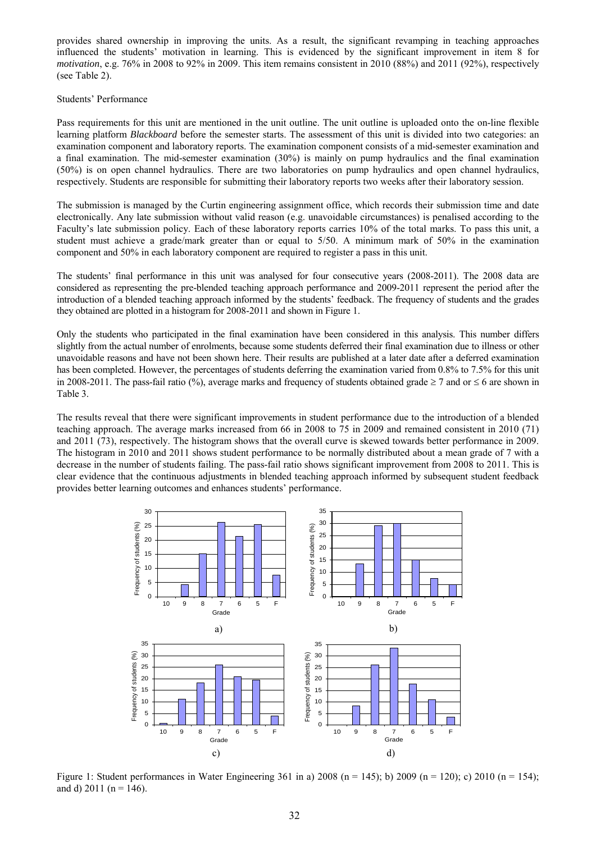provides shared ownership in improving the units. As a result, the significant revamping in teaching approaches influenced the students' motivation in learning. This is evidenced by the significant improvement in item 8 for *motivation*, e.g. 76% in 2008 to 92% in 2009. This item remains consistent in 2010 (88%) and 2011 (92%), respectively (see Table 2).

### Students' Performance

Pass requirements for this unit are mentioned in the unit outline. The unit outline is uploaded onto the on-line flexible learning platform *Blackboard* before the semester starts. The assessment of this unit is divided into two categories: an examination component and laboratory reports. The examination component consists of a mid-semester examination and a final examination. The mid-semester examination (30%) is mainly on pump hydraulics and the final examination (50%) is on open channel hydraulics. There are two laboratories on pump hydraulics and open channel hydraulics, respectively. Students are responsible for submitting their laboratory reports two weeks after their laboratory session.

The submission is managed by the Curtin engineering assignment office, which records their submission time and date electronically. Any late submission without valid reason (e.g. unavoidable circumstances) is penalised according to the Faculty's late submission policy. Each of these laboratory reports carries 10% of the total marks. To pass this unit, a student must achieve a grade/mark greater than or equal to 5/50. A minimum mark of 50% in the examination component and 50% in each laboratory component are required to register a pass in this unit.

The students' final performance in this unit was analysed for four consecutive years (2008-2011). The 2008 data are considered as representing the pre-blended teaching approach performance and 2009-2011 represent the period after the introduction of a blended teaching approach informed by the students' feedback. The frequency of students and the grades they obtained are plotted in a histogram for 2008-2011 and shown in Figure 1.

Only the students who participated in the final examination have been considered in this analysis. This number differs slightly from the actual number of enrolments, because some students deferred their final examination due to illness or other unavoidable reasons and have not been shown here. Their results are published at a later date after a deferred examination has been completed. However, the percentages of students deferring the examination varied from 0.8% to 7.5% for this unit in 2008-2011. The pass-fail ratio (%), average marks and frequency of students obtained grade  $\geq 7$  and or  $\leq 6$  are shown in Table 3.

The results reveal that there were significant improvements in student performance due to the introduction of a blended teaching approach. The average marks increased from 66 in 2008 to 75 in 2009 and remained consistent in 2010 (71) and 2011 (73), respectively. The histogram shows that the overall curve is skewed towards better performance in 2009. The histogram in 2010 and 2011 shows student performance to be normally distributed about a mean grade of 7 with a decrease in the number of students failing. The pass-fail ratio shows significant improvement from 2008 to 2011. This is clear evidence that the continuous adjustments in blended teaching approach informed by subsequent student feedback provides better learning outcomes and enhances students' performance.



Figure 1: Student performances in Water Engineering 361 in a) 2008 (n = 145); b) 2009 (n = 120); c) 2010 (n = 154); and d)  $2011$  (n = 146).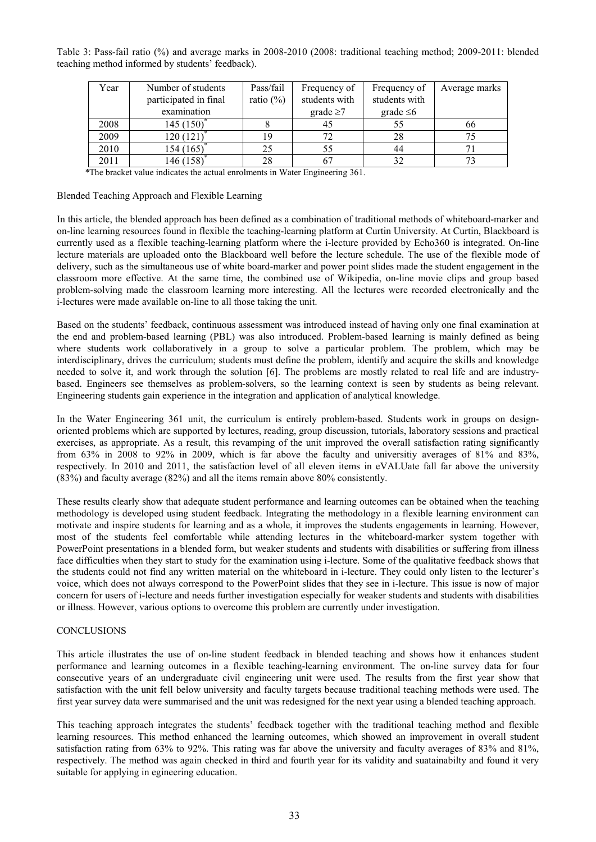Table 3: Pass-fail ratio (%) and average marks in 2008-2010 (2008: traditional teaching method; 2009-2011: blended teaching method informed by students' feedback).

| Year | Number of students    | Pass/fail    | Frequency of   | Frequency of   | Average marks |
|------|-----------------------|--------------|----------------|----------------|---------------|
|      | participated in final | ratio $(\%)$ | students with  | students with  |               |
|      | examination           |              | grade $\geq 7$ | grade $\leq 6$ |               |
| 2008 | 145(150)              |              | 45             |                | 66            |
| 2009 | 120 (121)             | 19           |                | 28             |               |
| 2010 | 154(165)              | 25           | 55             | 44             |               |
| 2011 | 146 (158)             | 28           |                |                |               |

\*The bracket value indicates the actual enrolments in Water Engineering 361.

Blended Teaching Approach and Flexible Learning

In this article, the blended approach has been defined as a combination of traditional methods of whiteboard-marker and on-line learning resources found in flexible the teaching-learning platform at Curtin University. At Curtin, Blackboard is currently used as a flexible teaching-learning platform where the i-lecture provided by Echo360 is integrated. On-line lecture materials are uploaded onto the Blackboard well before the lecture schedule. The use of the flexible mode of delivery, such as the simultaneous use of white board-marker and power point slides made the student engagement in the classroom more effective. At the same time, the combined use of Wikipedia, on-line movie clips and group based problem-solving made the classroom learning more interesting. All the lectures were recorded electronically and the i-lectures were made available on-line to all those taking the unit.

Based on the students' feedback, continuous assessment was introduced instead of having only one final examination at the end and problem-based learning (PBL) was also introduced. Problem-based learning is mainly defined as being where students work collaboratively in a group to solve a particular problem. The problem, which may be interdisciplinary, drives the curriculum; students must define the problem, identify and acquire the skills and knowledge needed to solve it, and work through the solution [6]. The problems are mostly related to real life and are industrybased. Engineers see themselves as problem-solvers, so the learning context is seen by students as being relevant. Engineering students gain experience in the integration and application of analytical knowledge.

In the Water Engineering 361 unit, the curriculum is entirely problem-based. Students work in groups on designoriented problems which are supported by lectures, reading, group discussion, tutorials, laboratory sessions and practical exercises, as appropriate. As a result, this revamping of the unit improved the overall satisfaction rating significantly from 63% in 2008 to 92% in 2009, which is far above the faculty and universitiy averages of 81% and 83%, respectively. In 2010 and 2011, the satisfaction level of all eleven items in eVALUate fall far above the university (83%) and faculty average (82%) and all the items remain above 80% consistently.

These results clearly show that adequate student performance and learning outcomes can be obtained when the teaching methodology is developed using student feedback. Integrating the methodology in a flexible learning environment can motivate and inspire students for learning and as a whole, it improves the students engagements in learning. However, most of the students feel comfortable while attending lectures in the whiteboard-marker system together with PowerPoint presentations in a blended form, but weaker students and students with disabilities or suffering from illness face difficulties when they start to study for the examination using i-lecture. Some of the qualitative feedback shows that the students could not find any written material on the whiteboard in i-lecture. They could only listen to the lecturer's voice, which does not always correspond to the PowerPoint slides that they see in i-lecture. This issue is now of major concern for users of i-lecture and needs further investigation especially for weaker students and students with disabilities or illness. However, various options to overcome this problem are currently under investigation.

#### **CONCLUSIONS**

This article illustrates the use of on-line student feedback in blended teaching and shows how it enhances student performance and learning outcomes in a flexible teaching-learning environment. The on-line survey data for four consecutive years of an undergraduate civil engineering unit were used. The results from the first year show that satisfaction with the unit fell below university and faculty targets because traditional teaching methods were used. The first year survey data were summarised and the unit was redesigned for the next year using a blended teaching approach.

This teaching approach integrates the students' feedback together with the traditional teaching method and flexible learning resources. This method enhanced the learning outcomes, which showed an improvement in overall student satisfaction rating from 63% to 92%. This rating was far above the university and faculty averages of 83% and 81%, respectively. The method was again checked in third and fourth year for its validity and suatainabilty and found it very suitable for applying in egineering education.